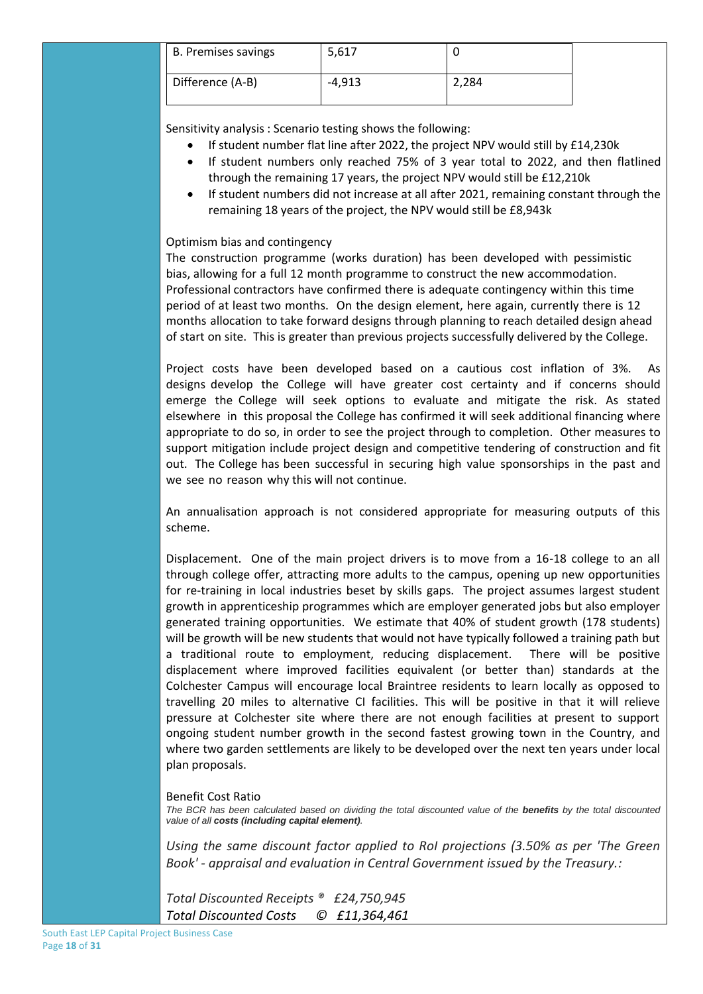| B. Premises savings | 5,617  |       |
|---------------------|--------|-------|
| Difference (A-B)    | -4,913 | 2,284 |

Sensitivity analysis : Scenario testing shows the following:

- If student number flat line after 2022, the project NPV would still by £14,230k
- If student numbers only reached 75% of 3 year total to 2022, and then flatlined through the remaining 17 years, the project NPV would still be £12,210k
- If student numbers did not increase at all after 2021, remaining constant through the remaining 18 years of the project, the NPV would still be £8,943k

## Optimism bias and contingency

The construction programme (works duration) has been developed with pessimistic bias, allowing for a full 12 month programme to construct the new accommodation. Professional contractors have confirmed there is adequate contingency within this time period of at least two months. On the design element, here again, currently there is 12 months allocation to take forward designs through planning to reach detailed design ahead of start on site. This is greater than previous projects successfully delivered by the College.

Project costs have been developed based on a cautious cost inflation of 3%. As designs develop the College will have greater cost certainty and if concerns should emerge the College will seek options to evaluate and mitigate the risk. As stated elsewhere in this proposal the College has confirmed it will seek additional financing where appropriate to do so, in order to see the project through to completion. Other measures to support mitigation include project design and competitive tendering of construction and fit out. The College has been successful in securing high value sponsorships in the past and we see no reason why this will not continue.

An annualisation approach is not considered appropriate for measuring outputs of this scheme.

Displacement. One of the main project drivers is to move from a 16-18 college to an all through college offer, attracting more adults to the campus, opening up new opportunities for re-training in local industries beset by skills gaps. The project assumes largest student growth in apprenticeship programmes which are employer generated jobs but also employer generated training opportunities. We estimate that 40% of student growth (178 students) will be growth will be new students that would not have typically followed a training path but a traditional route to employment, reducing displacement. There will be positive displacement where improved facilities equivalent (or better than) standards at the Colchester Campus will encourage local Braintree residents to learn locally as opposed to travelling 20 miles to alternative CI facilities. This will be positive in that it will relieve pressure at Colchester site where there are not enough facilities at present to support ongoing student number growth in the second fastest growing town in the Country, and where two garden settlements are likely to be developed over the next ten years under local plan proposals.

## Benefit Cost Ratio

The BCR has been calculated based on dividing the total discounted value of the **benefits** by the total discounted *value of all costs (including capital element).* 

*Using the same discount factor applied to RoI projections (3.50% as per 'The Green Book' - appraisal and evaluation in Central Government issued by the Treasury.:* 

*Total Discounted Receipts ® £24,750,945 Total Discounted Costs © £11,364,461*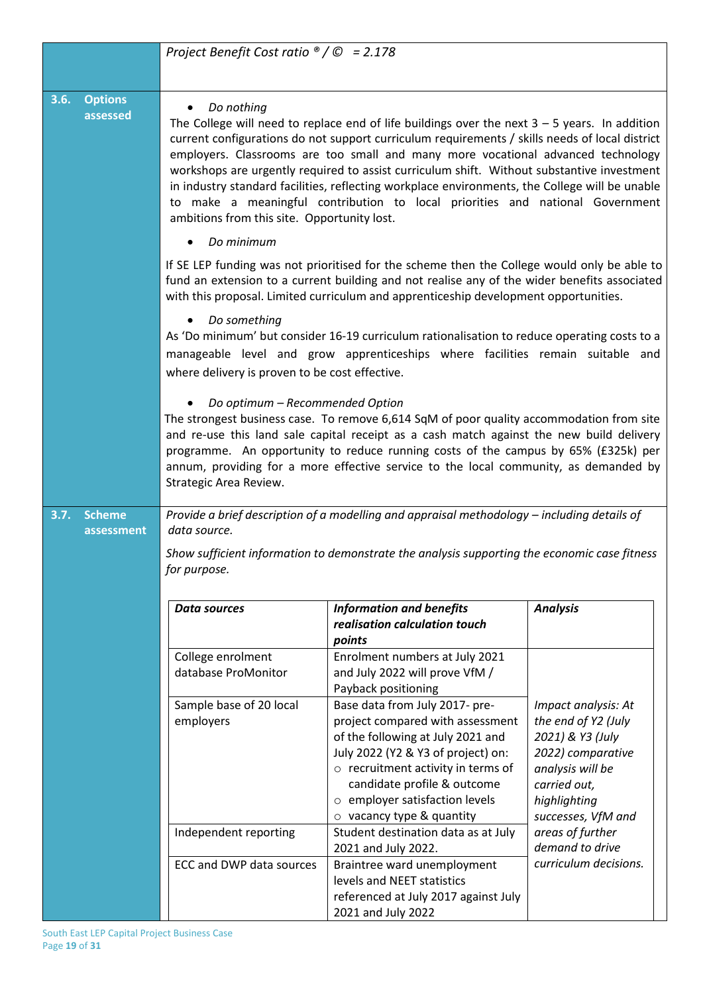|      |                             | Project Benefit Cost ratio $\mathcal{O}/\mathcal{O}$ = 2.178                                                                                                                                                                                                                                                                                                                                                                                                                                                                                                                                                                        |                                                                                                                                                                                                                                                                                               |                                                                                                                                                               |  |  |
|------|-----------------------------|-------------------------------------------------------------------------------------------------------------------------------------------------------------------------------------------------------------------------------------------------------------------------------------------------------------------------------------------------------------------------------------------------------------------------------------------------------------------------------------------------------------------------------------------------------------------------------------------------------------------------------------|-----------------------------------------------------------------------------------------------------------------------------------------------------------------------------------------------------------------------------------------------------------------------------------------------|---------------------------------------------------------------------------------------------------------------------------------------------------------------|--|--|
|      |                             |                                                                                                                                                                                                                                                                                                                                                                                                                                                                                                                                                                                                                                     |                                                                                                                                                                                                                                                                                               |                                                                                                                                                               |  |  |
| 3.6. | <b>Options</b><br>assessed  | Do nothing<br>The College will need to replace end of life buildings over the next $3 - 5$ years. In addition<br>current configurations do not support curriculum requirements / skills needs of local district<br>employers. Classrooms are too small and many more vocational advanced technology<br>workshops are urgently required to assist curriculum shift. Without substantive investment<br>in industry standard facilities, reflecting workplace environments, the College will be unable<br>to make a meaningful contribution to local priorities and national Government<br>ambitions from this site. Opportunity lost. |                                                                                                                                                                                                                                                                                               |                                                                                                                                                               |  |  |
|      |                             | Do minimum                                                                                                                                                                                                                                                                                                                                                                                                                                                                                                                                                                                                                          |                                                                                                                                                                                                                                                                                               |                                                                                                                                                               |  |  |
|      |                             |                                                                                                                                                                                                                                                                                                                                                                                                                                                                                                                                                                                                                                     | If SE LEP funding was not prioritised for the scheme then the College would only be able to<br>fund an extension to a current building and not realise any of the wider benefits associated<br>with this proposal. Limited curriculum and apprenticeship development opportunities.           |                                                                                                                                                               |  |  |
|      |                             | Do something<br>where delivery is proven to be cost effective.                                                                                                                                                                                                                                                                                                                                                                                                                                                                                                                                                                      | As 'Do minimum' but consider 16-19 curriculum rationalisation to reduce operating costs to a<br>manageable level and grow apprenticeships where facilities remain suitable and                                                                                                                |                                                                                                                                                               |  |  |
|      |                             | Do optimum - Recommended Option<br>The strongest business case. To remove 6,614 SqM of poor quality accommodation from site<br>and re-use this land sale capital receipt as a cash match against the new build delivery<br>programme. An opportunity to reduce running costs of the campus by 65% (£325k) per<br>annum, providing for a more effective service to the local community, as demanded by<br>Strategic Area Review.                                                                                                                                                                                                     |                                                                                                                                                                                                                                                                                               |                                                                                                                                                               |  |  |
| 3.7. | <b>Scheme</b><br>assessment | data source.                                                                                                                                                                                                                                                                                                                                                                                                                                                                                                                                                                                                                        | Provide a brief description of a modelling and appraisal methodology - including details of                                                                                                                                                                                                   |                                                                                                                                                               |  |  |
|      |                             | for purpose.                                                                                                                                                                                                                                                                                                                                                                                                                                                                                                                                                                                                                        | Show sufficient information to demonstrate the analysis supporting the economic case fitness                                                                                                                                                                                                  |                                                                                                                                                               |  |  |
|      |                             | <b>Data sources</b>                                                                                                                                                                                                                                                                                                                                                                                                                                                                                                                                                                                                                 | <b>Information and benefits</b><br>realisation calculation touch<br>points                                                                                                                                                                                                                    | <b>Analysis</b>                                                                                                                                               |  |  |
|      |                             | College enrolment<br>database ProMonitor                                                                                                                                                                                                                                                                                                                                                                                                                                                                                                                                                                                            | Enrolment numbers at July 2021<br>and July 2022 will prove VfM /<br>Payback positioning                                                                                                                                                                                                       |                                                                                                                                                               |  |  |
|      |                             | Sample base of 20 local<br>employers                                                                                                                                                                                                                                                                                                                                                                                                                                                                                                                                                                                                | Base data from July 2017- pre-<br>project compared with assessment<br>of the following at July 2021 and<br>July 2022 (Y2 & Y3 of project) on:<br>$\circ$ recruitment activity in terms of<br>candidate profile & outcome<br>o employer satisfaction levels<br>$\circ$ vacancy type & quantity | Impact analysis: At<br>the end of Y2 (July<br>2021) & Y3 (July<br>2022) comparative<br>analysis will be<br>carried out,<br>highlighting<br>successes, VfM and |  |  |
|      |                             | Independent reporting                                                                                                                                                                                                                                                                                                                                                                                                                                                                                                                                                                                                               | Student destination data as at July<br>2021 and July 2022.                                                                                                                                                                                                                                    | areas of further<br>demand to drive                                                                                                                           |  |  |
|      |                             | ECC and DWP data sources                                                                                                                                                                                                                                                                                                                                                                                                                                                                                                                                                                                                            | Braintree ward unemployment<br>levels and NEET statistics<br>referenced at July 2017 against July<br>2021 and July 2022                                                                                                                                                                       | curriculum decisions.                                                                                                                                         |  |  |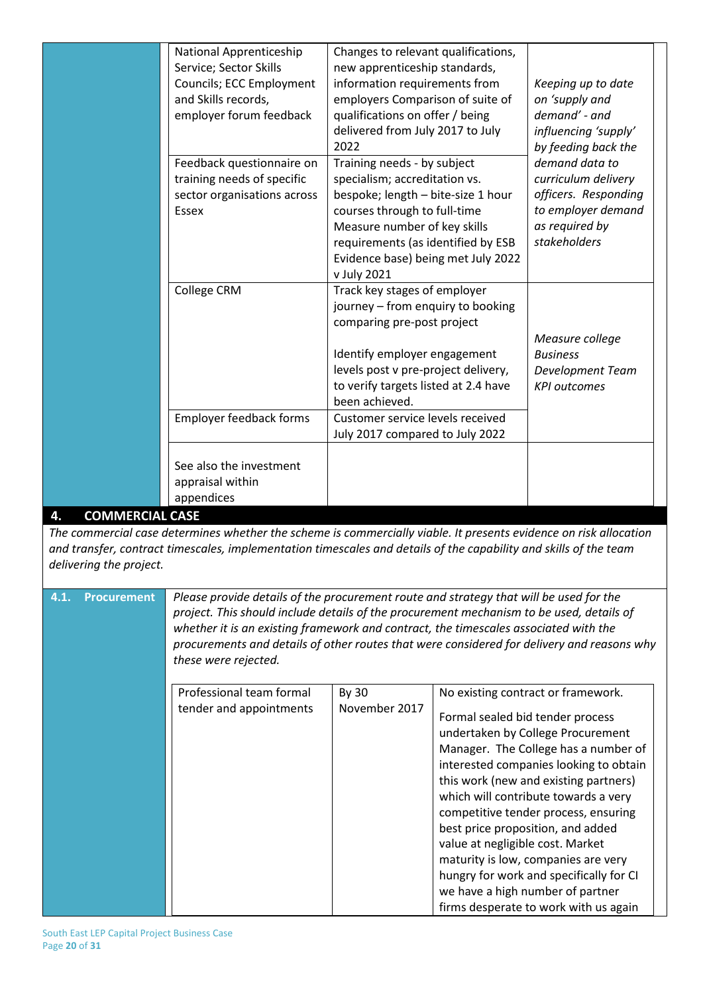|                              | National Apprenticeship        | Changes to relevant qualifications,  |                      |
|------------------------------|--------------------------------|--------------------------------------|----------------------|
|                              | Service; Sector Skills         | new apprenticeship standards,        |                      |
|                              | Councils; ECC Employment       | information requirements from        | Keeping up to date   |
|                              | and Skills records,            | employers Comparison of suite of     | on 'supply and       |
|                              | employer forum feedback        | qualifications on offer / being      | demand' - and        |
|                              |                                | delivered from July 2017 to July     | influencing 'supply' |
|                              |                                | 2022                                 | by feeding back the  |
|                              | Feedback questionnaire on      | Training needs - by subject          | demand data to       |
|                              | training needs of specific     | specialism; accreditation vs.        | curriculum delivery  |
|                              | sector organisations across    | bespoke; length - bite-size 1 hour   | officers. Responding |
|                              | Essex                          | courses through to full-time         | to employer demand   |
|                              |                                | Measure number of key skills         | as required by       |
|                              |                                | requirements (as identified by ESB   | stakeholders         |
|                              |                                | Evidence base) being met July 2022   |                      |
|                              |                                | v July 2021                          |                      |
|                              | College CRM                    | Track key stages of employer         |                      |
|                              |                                | journey - from enquiry to booking    |                      |
|                              |                                | comparing pre-post project           |                      |
|                              |                                |                                      | Measure college      |
|                              |                                | Identify employer engagement         | <b>Business</b>      |
|                              |                                | levels post v pre-project delivery,  | Development Team     |
|                              |                                | to verify targets listed at 2.4 have | <b>KPI</b> outcomes  |
|                              |                                | been achieved.                       |                      |
|                              | <b>Employer feedback forms</b> | Customer service levels received     |                      |
|                              |                                | July 2017 compared to July 2022      |                      |
|                              |                                |                                      |                      |
|                              | See also the investment        |                                      |                      |
|                              | appraisal within               |                                      |                      |
|                              | appendices                     |                                      |                      |
| <b>COMMERCIAL CASE</b><br>4. |                                |                                      |                      |

*The commercial case determines whether the scheme is commercially viable. It presents evidence on risk allocation and transfer, contract timescales, implementation timescales and details of the capability and skills of the team delivering the project.*

| 4.1. | <b>Procurement</b> | Please provide details of the procurement route and strategy that will be used for the<br>project. This should include details of the procurement mechanism to be used, details of<br>whether it is an existing framework and contract, the timescales associated with the<br>procurements and details of other routes that were considered for delivery and reasons why<br>these were rejected. |                        |                                                                                                                                                                                                                                                                                                                                                                                                                                                                                                                                                                |  |  |  |  |
|------|--------------------|--------------------------------------------------------------------------------------------------------------------------------------------------------------------------------------------------------------------------------------------------------------------------------------------------------------------------------------------------------------------------------------------------|------------------------|----------------------------------------------------------------------------------------------------------------------------------------------------------------------------------------------------------------------------------------------------------------------------------------------------------------------------------------------------------------------------------------------------------------------------------------------------------------------------------------------------------------------------------------------------------------|--|--|--|--|
|      |                    | Professional team formal<br>tender and appointments                                                                                                                                                                                                                                                                                                                                              | By 30<br>November 2017 | No existing contract or framework.<br>Formal sealed bid tender process<br>undertaken by College Procurement<br>Manager. The College has a number of<br>interested companies looking to obtain<br>this work (new and existing partners)<br>which will contribute towards a very<br>competitive tender process, ensuring<br>best price proposition, and added<br>value at negligible cost. Market<br>maturity is low, companies are very<br>hungry for work and specifically for CI<br>we have a high number of partner<br>firms desperate to work with us again |  |  |  |  |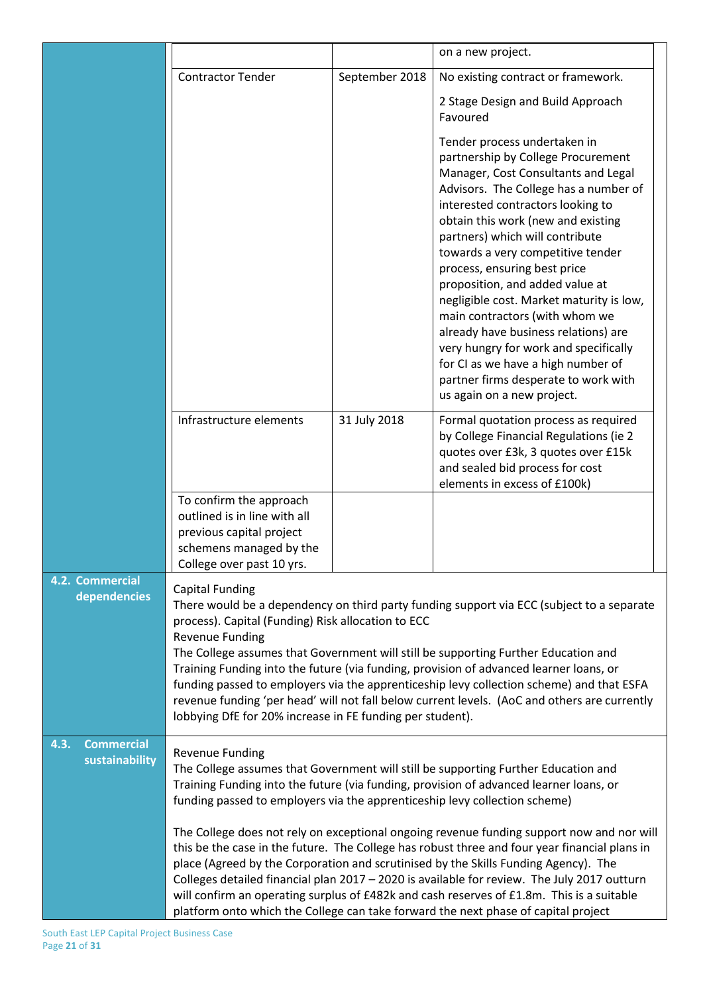|                                             |                                                                                                                                                                                                                                                                                                                                                                                                                                                                                                                                                                                                                                              |                | on a new project.                                                                                                                                                                                                                                                                                                                                                                                                                                                                                                                                                                                                                                   |  |  |
|---------------------------------------------|----------------------------------------------------------------------------------------------------------------------------------------------------------------------------------------------------------------------------------------------------------------------------------------------------------------------------------------------------------------------------------------------------------------------------------------------------------------------------------------------------------------------------------------------------------------------------------------------------------------------------------------------|----------------|-----------------------------------------------------------------------------------------------------------------------------------------------------------------------------------------------------------------------------------------------------------------------------------------------------------------------------------------------------------------------------------------------------------------------------------------------------------------------------------------------------------------------------------------------------------------------------------------------------------------------------------------------------|--|--|
|                                             | <b>Contractor Tender</b>                                                                                                                                                                                                                                                                                                                                                                                                                                                                                                                                                                                                                     | September 2018 | No existing contract or framework.                                                                                                                                                                                                                                                                                                                                                                                                                                                                                                                                                                                                                  |  |  |
|                                             |                                                                                                                                                                                                                                                                                                                                                                                                                                                                                                                                                                                                                                              |                | 2 Stage Design and Build Approach<br>Favoured                                                                                                                                                                                                                                                                                                                                                                                                                                                                                                                                                                                                       |  |  |
|                                             |                                                                                                                                                                                                                                                                                                                                                                                                                                                                                                                                                                                                                                              |                | Tender process undertaken in<br>partnership by College Procurement<br>Manager, Cost Consultants and Legal<br>Advisors. The College has a number of<br>interested contractors looking to<br>obtain this work (new and existing<br>partners) which will contribute<br>towards a very competitive tender<br>process, ensuring best price<br>proposition, and added value at<br>negligible cost. Market maturity is low,<br>main contractors (with whom we<br>already have business relations) are<br>very hungry for work and specifically<br>for CI as we have a high number of<br>partner firms desperate to work with<br>us again on a new project. |  |  |
|                                             | Infrastructure elements                                                                                                                                                                                                                                                                                                                                                                                                                                                                                                                                                                                                                      | 31 July 2018   | Formal quotation process as required<br>by College Financial Regulations (ie 2<br>quotes over £3k, 3 quotes over £15k<br>and sealed bid process for cost<br>elements in excess of £100k)                                                                                                                                                                                                                                                                                                                                                                                                                                                            |  |  |
|                                             | To confirm the approach<br>outlined is in line with all<br>previous capital project<br>schemens managed by the<br>College over past 10 yrs.                                                                                                                                                                                                                                                                                                                                                                                                                                                                                                  |                |                                                                                                                                                                                                                                                                                                                                                                                                                                                                                                                                                                                                                                                     |  |  |
| 4.2. Commercial<br>dependencies             | <b>Capital Funding</b><br>There would be a dependency on third party funding support via ECC (subject to a separate<br>process). Capital (Funding) Risk allocation to ECC<br><b>Revenue Funding</b><br>The College assumes that Government will still be supporting Further Education and<br>Training Funding into the future (via funding, provision of advanced learner loans, or<br>funding passed to employers via the apprenticeship levy collection scheme) and that ESFA<br>revenue funding 'per head' will not fall below current levels. (AoC and others are currently<br>lobbying DfE for 20% increase in FE funding per student). |                |                                                                                                                                                                                                                                                                                                                                                                                                                                                                                                                                                                                                                                                     |  |  |
| <b>Commercial</b><br>4.3.<br>sustainability | <b>Revenue Funding</b><br>The College assumes that Government will still be supporting Further Education and<br>Training Funding into the future (via funding, provision of advanced learner loans, or<br>funding passed to employers via the apprenticeship levy collection scheme)                                                                                                                                                                                                                                                                                                                                                         |                |                                                                                                                                                                                                                                                                                                                                                                                                                                                                                                                                                                                                                                                     |  |  |
|                                             | The College does not rely on exceptional ongoing revenue funding support now and nor will<br>this be the case in the future. The College has robust three and four year financial plans in<br>place (Agreed by the Corporation and scrutinised by the Skills Funding Agency). The<br>Colleges detailed financial plan 2017 - 2020 is available for review. The July 2017 outturn<br>will confirm an operating surplus of £482k and cash reserves of £1.8m. This is a suitable<br>platform onto which the College can take forward the next phase of capital project                                                                          |                |                                                                                                                                                                                                                                                                                                                                                                                                                                                                                                                                                                                                                                                     |  |  |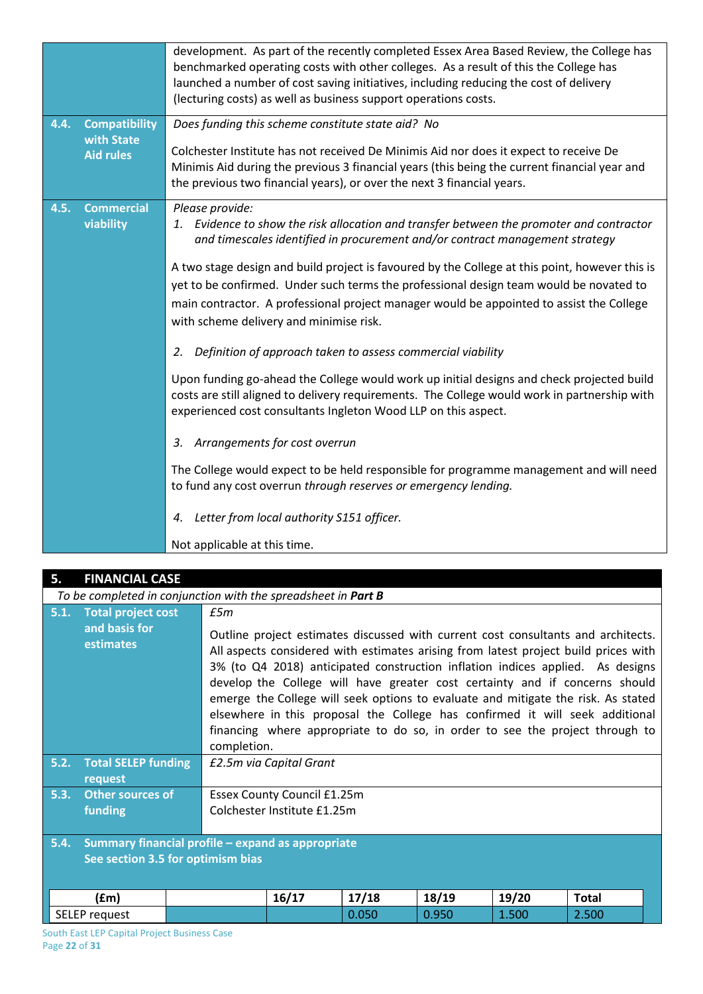|      |                                | development. As part of the recently completed Essex Area Based Review, the College has<br>benchmarked operating costs with other colleges. As a result of this the College has<br>launched a number of cost saving initiatives, including reducing the cost of delivery<br>(lecturing costs) as well as business support operations costs. |
|------|--------------------------------|---------------------------------------------------------------------------------------------------------------------------------------------------------------------------------------------------------------------------------------------------------------------------------------------------------------------------------------------|
| 4.4. | <b>Compatibility</b>           | Does funding this scheme constitute state aid? No                                                                                                                                                                                                                                                                                           |
|      | with State<br><b>Aid rules</b> | Colchester Institute has not received De Minimis Aid nor does it expect to receive De<br>Minimis Aid during the previous 3 financial years (this being the current financial year and<br>the previous two financial years), or over the next 3 financial years.                                                                             |
| 4.5. | <b>Commercial</b>              | Please provide:                                                                                                                                                                                                                                                                                                                             |
|      | viability                      | 1. Evidence to show the risk allocation and transfer between the promoter and contractor<br>and timescales identified in procurement and/or contract management strategy                                                                                                                                                                    |
|      |                                | A two stage design and build project is favoured by the College at this point, however this is                                                                                                                                                                                                                                              |
|      |                                | yet to be confirmed. Under such terms the professional design team would be novated to                                                                                                                                                                                                                                                      |
|      |                                | main contractor. A professional project manager would be appointed to assist the College                                                                                                                                                                                                                                                    |
|      |                                | with scheme delivery and minimise risk.                                                                                                                                                                                                                                                                                                     |
|      |                                | Definition of approach taken to assess commercial viability<br>2.                                                                                                                                                                                                                                                                           |
|      |                                | Upon funding go-ahead the College would work up initial designs and check projected build                                                                                                                                                                                                                                                   |
|      |                                | costs are still aligned to delivery requirements. The College would work in partnership with<br>experienced cost consultants Ingleton Wood LLP on this aspect.                                                                                                                                                                              |
|      |                                | Arrangements for cost overrun<br>3.                                                                                                                                                                                                                                                                                                         |
|      |                                | The College would expect to be held responsible for programme management and will need<br>to fund any cost overrun through reserves or emergency lending.                                                                                                                                                                                   |
|      |                                | Letter from local authority S151 officer.<br>4.                                                                                                                                                                                                                                                                                             |
|      |                                | Not applicable at this time.                                                                                                                                                                                                                                                                                                                |

| 5.   | <b>FINANCIAL CASE</b>                        |                                                                                                                                                                                                                                                                                                                                                                                                                                                                                                                                                                                                               |       |       |       |              |
|------|----------------------------------------------|---------------------------------------------------------------------------------------------------------------------------------------------------------------------------------------------------------------------------------------------------------------------------------------------------------------------------------------------------------------------------------------------------------------------------------------------------------------------------------------------------------------------------------------------------------------------------------------------------------------|-------|-------|-------|--------------|
|      |                                              | To be completed in conjunction with the spreadsheet in Part B                                                                                                                                                                                                                                                                                                                                                                                                                                                                                                                                                 |       |       |       |              |
| 5.1. | <b>Total project cost</b>                    | f5m                                                                                                                                                                                                                                                                                                                                                                                                                                                                                                                                                                                                           |       |       |       |              |
|      | and basis for<br>estimates                   | Outline project estimates discussed with current cost consultants and architects.<br>All aspects considered with estimates arising from latest project build prices with<br>3% (to Q4 2018) anticipated construction inflation indices applied. As designs<br>develop the College will have greater cost certainty and if concerns should<br>emerge the College will seek options to evaluate and mitigate the risk. As stated<br>elsewhere in this proposal the College has confirmed it will seek additional<br>financing where appropriate to do so, in order to see the project through to<br>completion. |       |       |       |              |
| 5.2. | <b>Total SELEP funding</b><br>request        | £2.5m via Capital Grant                                                                                                                                                                                                                                                                                                                                                                                                                                                                                                                                                                                       |       |       |       |              |
| 5.3. | <b>Other sources of</b>                      | Essex County Council £1.25m                                                                                                                                                                                                                                                                                                                                                                                                                                                                                                                                                                                   |       |       |       |              |
|      | funding                                      | Colchester Institute £1.25m                                                                                                                                                                                                                                                                                                                                                                                                                                                                                                                                                                                   |       |       |       |              |
| 5.4. |                                              | Summary financial profile - expand as appropriate                                                                                                                                                                                                                                                                                                                                                                                                                                                                                                                                                             |       |       |       |              |
|      | See section 3.5 for optimism bias            |                                                                                                                                                                                                                                                                                                                                                                                                                                                                                                                                                                                                               |       |       |       |              |
|      |                                              |                                                                                                                                                                                                                                                                                                                                                                                                                                                                                                                                                                                                               |       |       |       |              |
|      | (£m)                                         | 16/17                                                                                                                                                                                                                                                                                                                                                                                                                                                                                                                                                                                                         | 17/18 | 18/19 | 19/20 | <b>Total</b> |
|      | SELEP request                                |                                                                                                                                                                                                                                                                                                                                                                                                                                                                                                                                                                                                               | 0.050 | 0.950 | 1.500 | 2.500        |
|      | South East LED Capital Project Pusiness Case |                                                                                                                                                                                                                                                                                                                                                                                                                                                                                                                                                                                                               |       |       |       |              |

South East LEP Capital Project Business Case Page **22** of **31**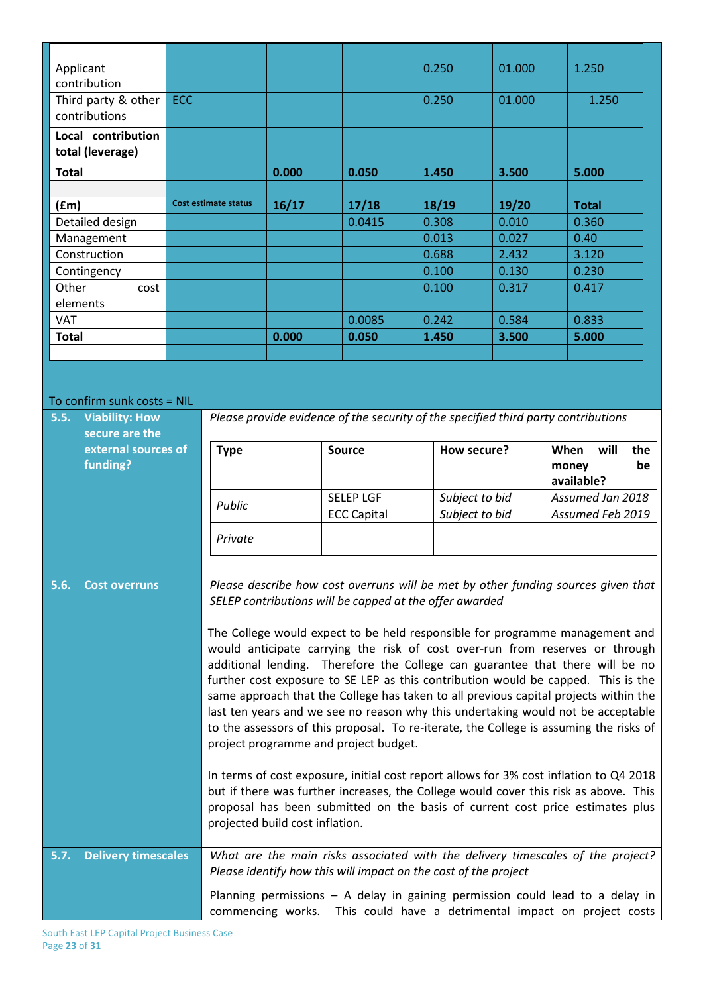| Applicant                       |            |                      |       |                                                                                    | 0.250          | 01.000 | 1.250                     |
|---------------------------------|------------|----------------------|-------|------------------------------------------------------------------------------------|----------------|--------|---------------------------|
| contribution                    |            |                      |       |                                                                                    |                |        |                           |
| Third party & other             | <b>ECC</b> |                      |       |                                                                                    | 0.250          | 01.000 | 1.250                     |
| contributions                   |            |                      |       |                                                                                    |                |        |                           |
| Local contribution              |            |                      |       |                                                                                    |                |        |                           |
| total (leverage)                |            |                      |       |                                                                                    |                |        |                           |
| <b>Total</b>                    |            |                      | 0.000 | 0.050                                                                              | 1.450          | 3.500  | 5.000                     |
|                                 |            |                      |       |                                                                                    |                |        |                           |
| (fm)                            |            | Cost estimate status | 16/17 | 17/18                                                                              | 18/19          | 19/20  | <b>Total</b>              |
| Detailed design                 |            |                      |       | 0.0415                                                                             | 0.308          | 0.010  | 0.360                     |
| Management                      |            |                      |       |                                                                                    | 0.013          | 0.027  | 0.40                      |
| Construction                    |            |                      |       |                                                                                    | 0.688          | 2.432  | 3.120                     |
| Contingency                     |            |                      |       |                                                                                    | 0.100          | 0.130  | 0.230                     |
| Other<br>cost                   |            |                      |       |                                                                                    | 0.100          | 0.317  | 0.417                     |
| elements                        |            |                      |       |                                                                                    |                |        |                           |
| <b>VAT</b>                      |            |                      |       | 0.0085                                                                             | 0.242          | 0.584  | 0.833                     |
| <b>Total</b>                    |            |                      | 0.000 | 0.050                                                                              | 1.450          | 3.500  | 5.000                     |
|                                 |            |                      |       |                                                                                    |                |        |                           |
|                                 |            |                      |       |                                                                                    |                |        |                           |
|                                 |            |                      |       |                                                                                    |                |        |                           |
| To confirm sunk costs = NIL     |            |                      |       |                                                                                    |                |        |                           |
| 5.5.<br><b>Viability: How</b>   |            |                      |       | Please provide evidence of the security of the specified third party contributions |                |        |                           |
| secure are the                  |            |                      |       |                                                                                    |                |        |                           |
| external sources of<br>funding? |            | <b>Type</b>          |       | <b>Source</b>                                                                      | How secure?    |        | will<br>When<br>the       |
|                                 |            |                      |       |                                                                                    |                |        | be<br>money<br>available? |
|                                 |            |                      |       | <b>SELEP LGF</b>                                                                   | Subject to bid |        | Assumed Jan 2018          |
|                                 |            | Public               |       | <b>ECC Capital</b>                                                                 | Subject to bid |        | Assumed Feb 2019          |
|                                 |            |                      |       |                                                                                    |                |        |                           |
|                                 |            | Private              |       |                                                                                    |                |        |                           |
|                                 |            |                      |       |                                                                                    |                |        |                           |

**5.6. Cost overruns** *Please describe how cost overruns will be met by other funding sources given that SELEP contributions will be capped at the offer awarded* 

> The College would expect to be held responsible for programme management and would anticipate carrying the risk of cost over-run from reserves or through additional lending. Therefore the College can guarantee that there will be no further cost exposure to SE LEP as this contribution would be capped. This is the same approach that the College has taken to all previous capital projects within the last ten years and we see no reason why this undertaking would not be acceptable to the assessors of this proposal. To re-iterate, the College is assuming the risks of project programme and project budget.

In terms of cost exposure, initial cost report allows for 3% cost inflation to Q4 2018 but if there was further increases, the College would cover this risk as above. This proposal has been submitted on the basis of current cost price estimates plus projected build cost inflation.

**5.7. Delivery timescales** *What are the main risks associated with the delivery timescales of the project? Please identify how this will impact on the cost of the project*

> Planning permissions – A delay in gaining permission could lead to a delay in commencing works. This could have a detrimental impact on project costs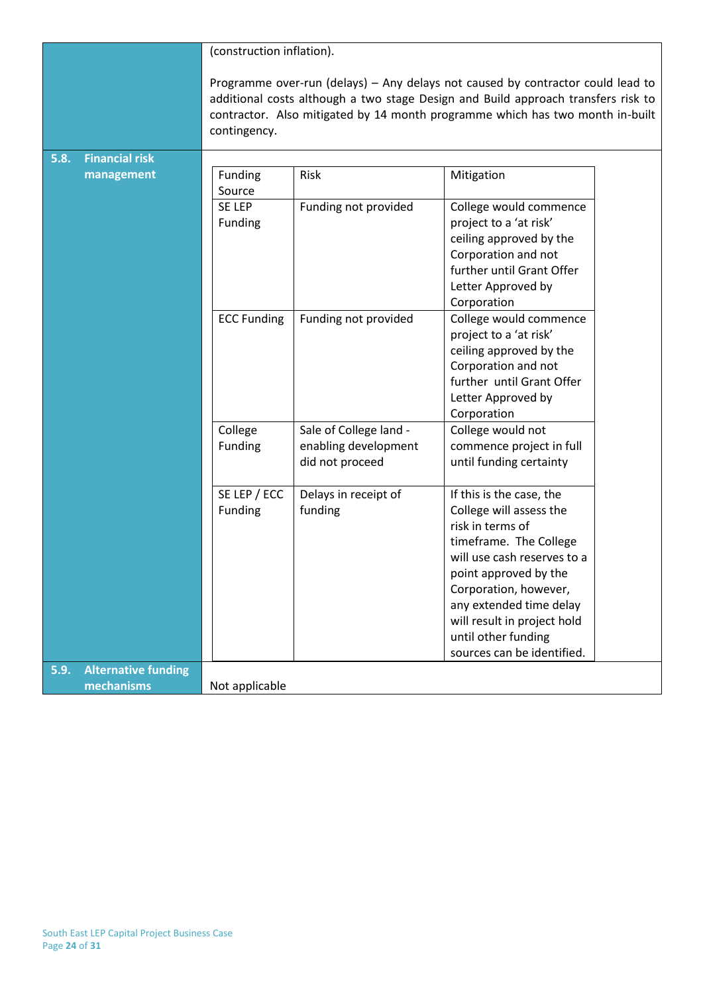|      |                            | (construction inflation).                                                                                                                                                                                                                                             |                                                                   |                                                                                                                                                                                                                                                                                                   |  |
|------|----------------------------|-----------------------------------------------------------------------------------------------------------------------------------------------------------------------------------------------------------------------------------------------------------------------|-------------------------------------------------------------------|---------------------------------------------------------------------------------------------------------------------------------------------------------------------------------------------------------------------------------------------------------------------------------------------------|--|
|      |                            | Programme over-run (delays) - Any delays not caused by contractor could lead to<br>additional costs although a two stage Design and Build approach transfers risk to<br>contractor. Also mitigated by 14 month programme which has two month in-built<br>contingency. |                                                                   |                                                                                                                                                                                                                                                                                                   |  |
| 5.8. | <b>Financial risk</b>      |                                                                                                                                                                                                                                                                       |                                                                   |                                                                                                                                                                                                                                                                                                   |  |
|      | management                 | Funding<br>Source                                                                                                                                                                                                                                                     | Risk                                                              | Mitigation                                                                                                                                                                                                                                                                                        |  |
|      |                            | SE LEP<br>Funding                                                                                                                                                                                                                                                     | Funding not provided                                              | College would commence<br>project to a 'at risk'<br>ceiling approved by the<br>Corporation and not<br>further until Grant Offer<br>Letter Approved by<br>Corporation                                                                                                                              |  |
|      |                            | <b>ECC Funding</b>                                                                                                                                                                                                                                                    | Funding not provided                                              | College would commence<br>project to a 'at risk'<br>ceiling approved by the<br>Corporation and not<br>further until Grant Offer<br>Letter Approved by<br>Corporation                                                                                                                              |  |
|      |                            | College<br>Funding                                                                                                                                                                                                                                                    | Sale of College land -<br>enabling development<br>did not proceed | College would not<br>commence project in full<br>until funding certainty                                                                                                                                                                                                                          |  |
|      |                            | SE LEP / ECC<br>Funding                                                                                                                                                                                                                                               | Delays in receipt of<br>funding                                   | If this is the case, the<br>College will assess the<br>risk in terms of<br>timeframe. The College<br>will use cash reserves to a<br>point approved by the<br>Corporation, however,<br>any extended time delay<br>will result in project hold<br>until other funding<br>sources can be identified. |  |
| 5.9. | <b>Alternative funding</b> |                                                                                                                                                                                                                                                                       |                                                                   |                                                                                                                                                                                                                                                                                                   |  |
|      | mechanisms                 | Not applicable                                                                                                                                                                                                                                                        |                                                                   |                                                                                                                                                                                                                                                                                                   |  |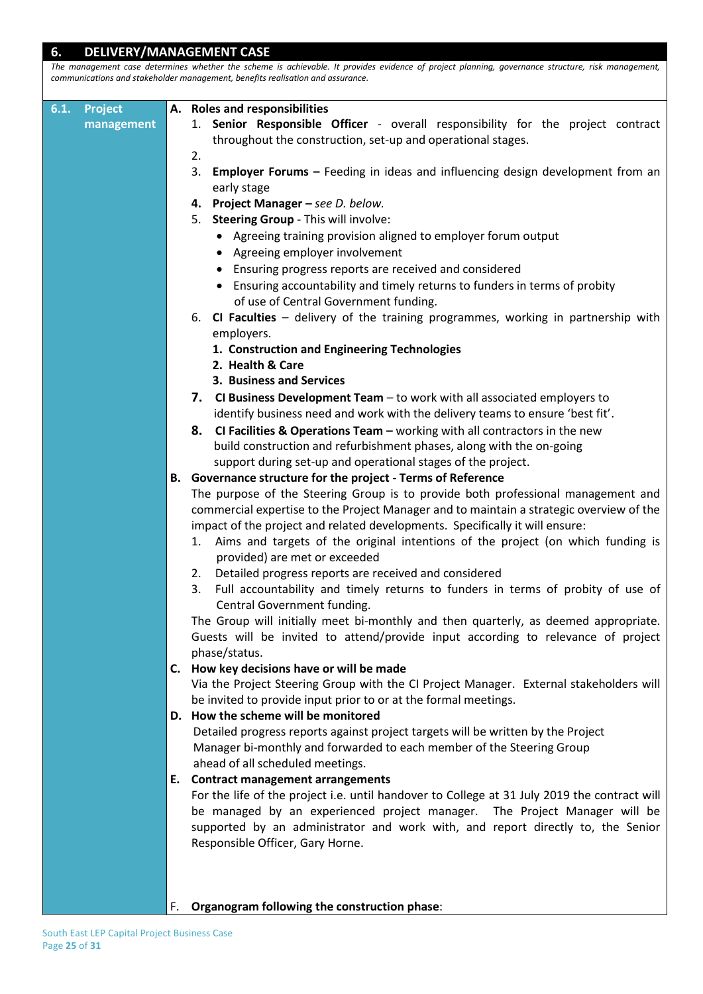| 6.                     |            | <b>DELIVERY/MANAGEMENT CASE</b>                                                                                                                                                                                                     |
|------------------------|------------|-------------------------------------------------------------------------------------------------------------------------------------------------------------------------------------------------------------------------------------|
|                        |            | The management case determines whether the scheme is achievable. It provides evidence of project planning, governance structure, risk management,<br>communications and stakeholder management, benefits realisation and assurance. |
|                        |            |                                                                                                                                                                                                                                     |
| 6.1.<br><b>Project</b> |            | A. Roles and responsibilities                                                                                                                                                                                                       |
|                        | management | 1. Senior Responsible Officer - overall responsibility for the project contract                                                                                                                                                     |
|                        |            | throughout the construction, set-up and operational stages.                                                                                                                                                                         |
|                        |            | 2.                                                                                                                                                                                                                                  |
|                        |            | 3.<br><b>Employer Forums</b> - Feeding in ideas and influencing design development from an                                                                                                                                          |
|                        |            | early stage                                                                                                                                                                                                                         |
|                        |            | 4. Project Manager - see D. below.                                                                                                                                                                                                  |
|                        |            | 5. Steering Group - This will involve:                                                                                                                                                                                              |
|                        |            | • Agreeing training provision aligned to employer forum output                                                                                                                                                                      |
|                        |            | • Agreeing employer involvement                                                                                                                                                                                                     |
|                        |            | Ensuring progress reports are received and considered                                                                                                                                                                               |
|                        |            | Ensuring accountability and timely returns to funders in terms of probity                                                                                                                                                           |
|                        |            | of use of Central Government funding.<br>CI Faculties - delivery of the training programmes, working in partnership with<br>6.                                                                                                      |
|                        |            | employers.                                                                                                                                                                                                                          |
|                        |            | 1. Construction and Engineering Technologies                                                                                                                                                                                        |
|                        |            | 2. Health & Care                                                                                                                                                                                                                    |
|                        |            | 3. Business and Services                                                                                                                                                                                                            |
|                        |            | 7. CI Business Development Team - to work with all associated employers to                                                                                                                                                          |
|                        |            | identify business need and work with the delivery teams to ensure 'best fit'.                                                                                                                                                       |
|                        |            | CI Facilities & Operations Team $-$ working with all contractors in the new<br>8.                                                                                                                                                   |
|                        |            | build construction and refurbishment phases, along with the on-going                                                                                                                                                                |
|                        |            | support during set-up and operational stages of the project.                                                                                                                                                                        |
|                        |            | B. Governance structure for the project - Terms of Reference                                                                                                                                                                        |
|                        |            | The purpose of the Steering Group is to provide both professional management and                                                                                                                                                    |
|                        |            | commercial expertise to the Project Manager and to maintain a strategic overview of the                                                                                                                                             |
|                        |            | impact of the project and related developments. Specifically it will ensure:                                                                                                                                                        |
|                        |            | Aims and targets of the original intentions of the project (on which funding is<br>1.                                                                                                                                               |
|                        |            | provided) are met or exceeded                                                                                                                                                                                                       |
|                        |            | 2. Detailed progress reports are received and considered<br>Full accountability and timely returns to funders in terms of probity of use of<br>3.                                                                                   |
|                        |            | Central Government funding.                                                                                                                                                                                                         |
|                        |            | The Group will initially meet bi-monthly and then quarterly, as deemed appropriate.                                                                                                                                                 |
|                        |            | Guests will be invited to attend/provide input according to relevance of project                                                                                                                                                    |
|                        |            | phase/status.                                                                                                                                                                                                                       |
|                        |            | C. How key decisions have or will be made                                                                                                                                                                                           |
|                        |            | Via the Project Steering Group with the CI Project Manager. External stakeholders will                                                                                                                                              |
|                        |            | be invited to provide input prior to or at the formal meetings.                                                                                                                                                                     |
|                        |            | D. How the scheme will be monitored                                                                                                                                                                                                 |
|                        |            | Detailed progress reports against project targets will be written by the Project                                                                                                                                                    |
|                        |            | Manager bi-monthly and forwarded to each member of the Steering Group                                                                                                                                                               |
|                        |            | ahead of all scheduled meetings.                                                                                                                                                                                                    |
|                        |            | E. Contract management arrangements                                                                                                                                                                                                 |
|                        |            | For the life of the project i.e. until handover to College at 31 July 2019 the contract will                                                                                                                                        |
|                        |            | be managed by an experienced project manager. The Project Manager will be                                                                                                                                                           |
|                        |            | supported by an administrator and work with, and report directly to, the Senior<br>Responsible Officer, Gary Horne.                                                                                                                 |
|                        |            |                                                                                                                                                                                                                                     |
|                        |            |                                                                                                                                                                                                                                     |
|                        |            |                                                                                                                                                                                                                                     |
|                        |            | Organogram following the construction phase:<br>F.                                                                                                                                                                                  |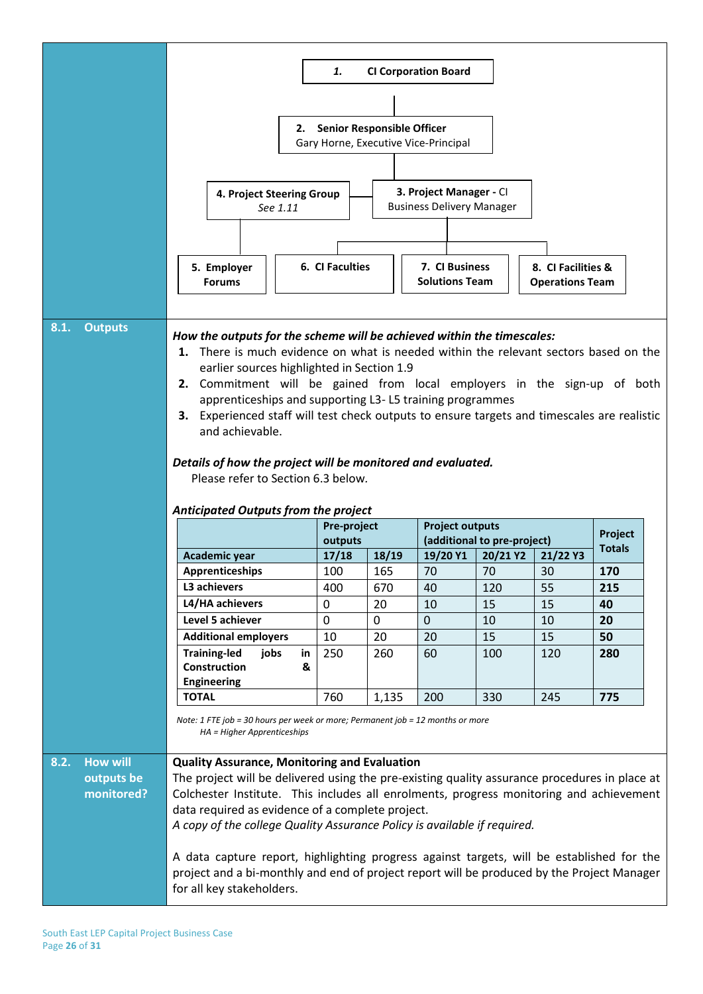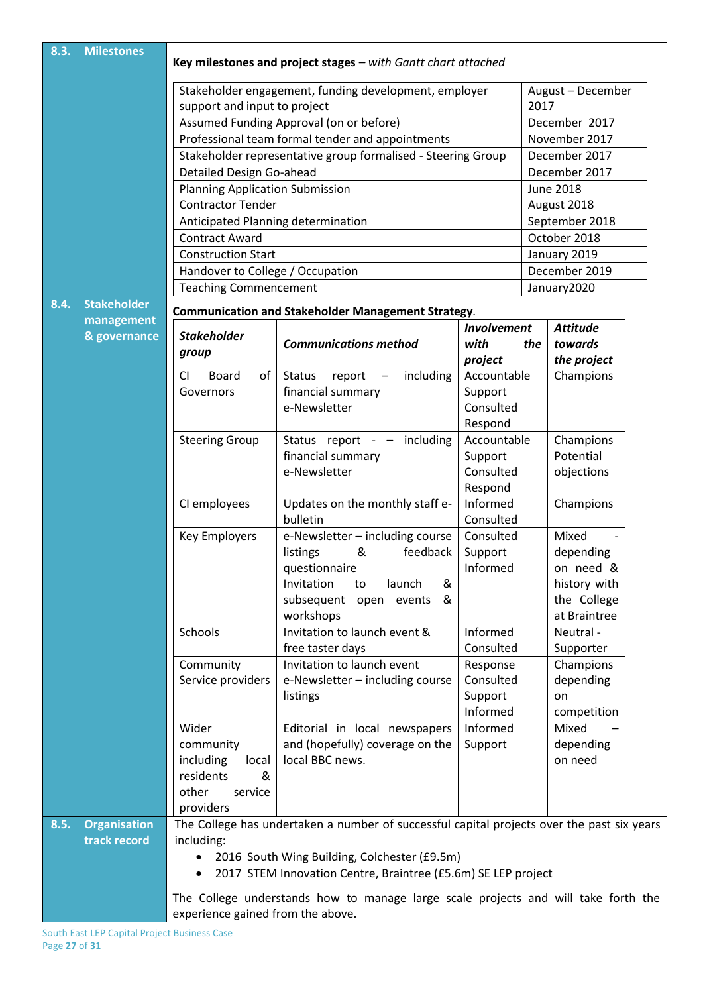| 8.3. | <b>Milestones</b>   | Key milestones and project stages - with Gantt chart attached                                                           |                                                                                                                  |                    |               |                                |  |  |
|------|---------------------|-------------------------------------------------------------------------------------------------------------------------|------------------------------------------------------------------------------------------------------------------|--------------------|---------------|--------------------------------|--|--|
|      |                     | Stakeholder engagement, funding development, employer<br>August - December                                              |                                                                                                                  |                    |               |                                |  |  |
|      |                     | support and input to project                                                                                            | 2017                                                                                                             |                    |               |                                |  |  |
|      |                     | Assumed Funding Approval (on or before)                                                                                 |                                                                                                                  |                    | December 2017 |                                |  |  |
|      |                     |                                                                                                                         |                                                                                                                  |                    | November 2017 |                                |  |  |
|      |                     |                                                                                                                         | Professional team formal tender and appointments<br>Stakeholder representative group formalised - Steering Group |                    |               |                                |  |  |
|      |                     | Detailed Design Go-ahead                                                                                                |                                                                                                                  |                    |               | December 2017<br>December 2017 |  |  |
|      |                     |                                                                                                                         |                                                                                                                  |                    |               | <b>June 2018</b>               |  |  |
|      |                     | <b>Planning Application Submission</b><br><b>Contractor Tender</b>                                                      |                                                                                                                  |                    |               |                                |  |  |
|      |                     |                                                                                                                         |                                                                                                                  |                    |               | August 2018                    |  |  |
|      |                     | Anticipated Planning determination                                                                                      |                                                                                                                  |                    |               | September 2018                 |  |  |
|      |                     | <b>Contract Award</b>                                                                                                   |                                                                                                                  |                    |               | October 2018                   |  |  |
|      |                     | <b>Construction Start</b>                                                                                               |                                                                                                                  |                    |               | January 2019                   |  |  |
|      |                     | Handover to College / Occupation                                                                                        |                                                                                                                  |                    |               | December 2019                  |  |  |
|      |                     | <b>Teaching Commencement</b>                                                                                            |                                                                                                                  |                    |               | January2020                    |  |  |
| 8.4. | <b>Stakeholder</b>  |                                                                                                                         | <b>Communication and Stakeholder Management Strategy.</b>                                                        |                    |               |                                |  |  |
|      | management          |                                                                                                                         |                                                                                                                  | <b>Involvement</b> |               | <b>Attitude</b>                |  |  |
|      | & governance        | <b>Stakeholder</b>                                                                                                      | <b>Communications method</b>                                                                                     | with               | the           | towards                        |  |  |
|      |                     | group                                                                                                                   |                                                                                                                  | project            |               | the project                    |  |  |
|      |                     | of<br>CI<br><b>Board</b>                                                                                                | <b>Status</b><br>including<br>report<br>$\overline{\phantom{m}}$                                                 | Accountable        |               | Champions                      |  |  |
|      |                     | Governors                                                                                                               | financial summary                                                                                                | Support            |               |                                |  |  |
|      |                     |                                                                                                                         | e-Newsletter                                                                                                     | Consulted          |               |                                |  |  |
|      |                     |                                                                                                                         |                                                                                                                  | Respond            |               |                                |  |  |
|      |                     | <b>Steering Group</b>                                                                                                   | Status report - - including                                                                                      | Accountable        |               | Champions                      |  |  |
|      |                     |                                                                                                                         | financial summary<br>Support                                                                                     |                    |               | Potential                      |  |  |
|      |                     |                                                                                                                         | e-Newsletter<br>Consulted                                                                                        |                    |               | objections                     |  |  |
|      |                     |                                                                                                                         |                                                                                                                  | Respond            |               |                                |  |  |
|      |                     | CI employees                                                                                                            | Updates on the monthly staff e-                                                                                  | Informed           |               | Champions                      |  |  |
|      |                     |                                                                                                                         | bulletin                                                                                                         | Consulted          |               |                                |  |  |
|      |                     | <b>Key Employers</b>                                                                                                    | e-Newsletter - including course                                                                                  | Consulted          |               | Mixed                          |  |  |
|      |                     |                                                                                                                         | feedback<br>listings<br>&                                                                                        | Support            |               | depending                      |  |  |
|      |                     |                                                                                                                         | questionnaire                                                                                                    | Informed           |               | on need &                      |  |  |
|      |                     |                                                                                                                         | launch<br>Invitation<br>&<br>to                                                                                  |                    |               | history with                   |  |  |
|      |                     |                                                                                                                         | subsequent<br>&<br>open events                                                                                   |                    |               | the College                    |  |  |
|      |                     |                                                                                                                         | workshops                                                                                                        |                    |               | at Braintree                   |  |  |
|      |                     | Schools                                                                                                                 | Invitation to launch event &                                                                                     | Informed           |               | Neutral -                      |  |  |
|      |                     |                                                                                                                         | free taster days                                                                                                 | Consulted          |               | Supporter                      |  |  |
|      |                     | Community                                                                                                               | Invitation to launch event                                                                                       | Response           |               | Champions                      |  |  |
|      |                     | Service providers                                                                                                       | e-Newsletter - including course                                                                                  | Consulted          |               | depending                      |  |  |
|      |                     |                                                                                                                         | listings                                                                                                         | Support            |               | on                             |  |  |
|      |                     |                                                                                                                         |                                                                                                                  | Informed           |               | competition                    |  |  |
|      |                     | Wider                                                                                                                   | Editorial in local newspapers                                                                                    | Informed           |               | Mixed                          |  |  |
|      |                     | community                                                                                                               | and (hopefully) coverage on the                                                                                  | Support            |               | depending                      |  |  |
|      |                     | including<br>local                                                                                                      | local BBC news.                                                                                                  |                    |               | on need                        |  |  |
|      |                     | residents<br>&                                                                                                          |                                                                                                                  |                    |               |                                |  |  |
|      |                     | other<br>service                                                                                                        |                                                                                                                  |                    |               |                                |  |  |
|      |                     | providers                                                                                                               |                                                                                                                  |                    |               |                                |  |  |
| 8.5. | <b>Organisation</b> |                                                                                                                         | The College has undertaken a number of successful capital projects over the past six years                       |                    |               |                                |  |  |
|      | track record        | including:                                                                                                              |                                                                                                                  |                    |               |                                |  |  |
|      |                     | $\bullet$                                                                                                               | 2016 South Wing Building, Colchester (£9.5m)                                                                     |                    |               |                                |  |  |
|      |                     | $\bullet$                                                                                                               | 2017 STEM Innovation Centre, Braintree (£5.6m) SE LEP project                                                    |                    |               |                                |  |  |
|      |                     |                                                                                                                         |                                                                                                                  |                    |               |                                |  |  |
|      |                     | The College understands how to manage large scale projects and will take forth the<br>experience gained from the above. |                                                                                                                  |                    |               |                                |  |  |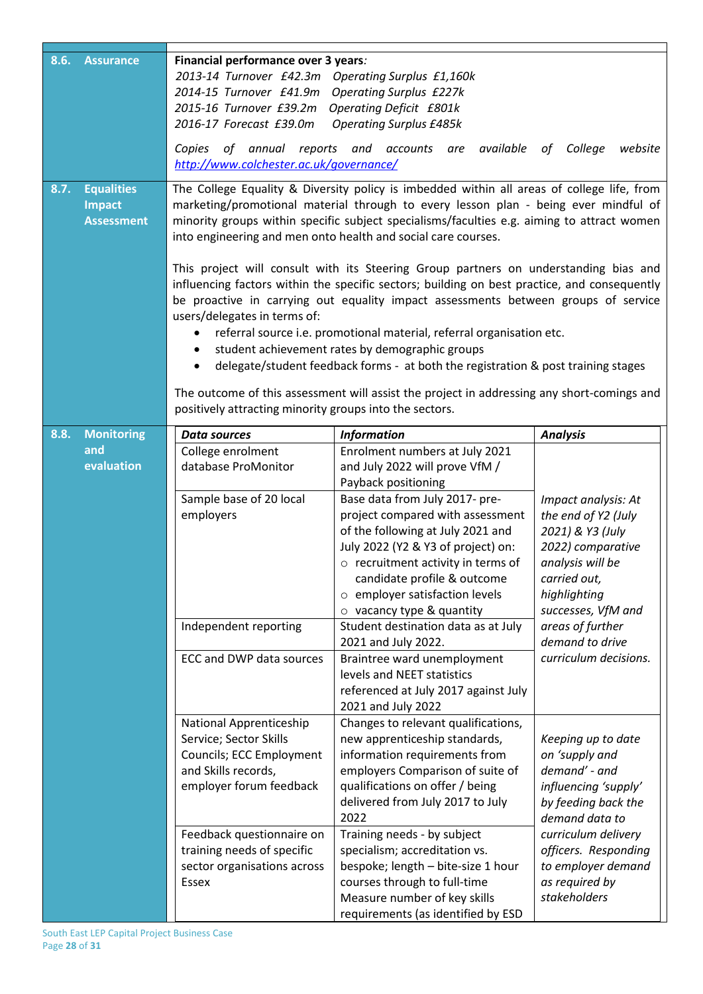| 8.6. | <b>Assurance</b>                                        | Financial performance over 3 years:<br>2013-14 Turnover £42.3m Operating Surplus £1,160k<br>2014-15 Turnover £41.9m<br>2015-16 Turnover £39.2m<br>2016-17 Forecast £39.0m<br>of annual reports<br>Copies<br>http://www.colchester.ac.uk/governance/ | <b>Operating Surplus £227k</b><br><b>Operating Deficit £801k</b><br><b>Operating Surplus £485k</b><br>and accounts<br>available<br>are                                                                                                                                                                                                                                                                                                                                                                                                                                                                                                                                                                                                                                                                                                                                                                                                        | College<br>website<br>of                                                                                                                                                         |
|------|---------------------------------------------------------|-----------------------------------------------------------------------------------------------------------------------------------------------------------------------------------------------------------------------------------------------------|-----------------------------------------------------------------------------------------------------------------------------------------------------------------------------------------------------------------------------------------------------------------------------------------------------------------------------------------------------------------------------------------------------------------------------------------------------------------------------------------------------------------------------------------------------------------------------------------------------------------------------------------------------------------------------------------------------------------------------------------------------------------------------------------------------------------------------------------------------------------------------------------------------------------------------------------------|----------------------------------------------------------------------------------------------------------------------------------------------------------------------------------|
| 8.7. | <b>Equalities</b><br><b>Impact</b><br><b>Assessment</b> | users/delegates in terms of:<br>٠<br>positively attracting minority groups into the sectors.                                                                                                                                                        | The College Equality & Diversity policy is imbedded within all areas of college life, from<br>marketing/promotional material through to every lesson plan - being ever mindful of<br>minority groups within specific subject specialisms/faculties e.g. aiming to attract women<br>into engineering and men onto health and social care courses.<br>This project will consult with its Steering Group partners on understanding bias and<br>influencing factors within the specific sectors; building on best practice, and consequently<br>be proactive in carrying out equality impact assessments between groups of service<br>referral source i.e. promotional material, referral organisation etc.<br>student achievement rates by demographic groups<br>delegate/student feedback forms - at both the registration & post training stages<br>The outcome of this assessment will assist the project in addressing any short-comings and |                                                                                                                                                                                  |
| 8.8. | <b>Monitoring</b><br>and<br>evaluation                  | <b>Data sources</b><br>College enrolment<br>database ProMonitor<br>Sample base of 20 local<br>employers                                                                                                                                             | <b>Information</b><br>Enrolment numbers at July 2021<br>and July 2022 will prove VfM /<br>Payback positioning<br>Base data from July 2017- pre-<br>project compared with assessment<br>of the following at July 2021 and<br>July 2022 (Y2 & Y3 of project) on:<br>o recruitment activity in terms of<br>candidate profile & outcome<br>$\circ$ employer satisfaction levels<br>$\circ$ vacancy type & quantity                                                                                                                                                                                                                                                                                                                                                                                                                                                                                                                                | <b>Analysis</b><br>Impact analysis: At<br>the end of Y2 (July<br>2021) & Y3 (July<br>2022) comparative<br>analysis will be<br>carried out,<br>highlighting<br>successes, VfM and |
|      |                                                         | Independent reporting<br>ECC and DWP data sources                                                                                                                                                                                                   | Student destination data as at July<br>2021 and July 2022.<br>Braintree ward unemployment<br>levels and NEET statistics<br>referenced at July 2017 against July<br>2021 and July 2022                                                                                                                                                                                                                                                                                                                                                                                                                                                                                                                                                                                                                                                                                                                                                         | areas of further<br>demand to drive<br>curriculum decisions.                                                                                                                     |
|      |                                                         | National Apprenticeship<br>Service; Sector Skills<br>Councils; ECC Employment<br>and Skills records,<br>employer forum feedback                                                                                                                     | Changes to relevant qualifications,<br>new apprenticeship standards,<br>information requirements from<br>employers Comparison of suite of<br>qualifications on offer / being<br>delivered from July 2017 to July<br>2022                                                                                                                                                                                                                                                                                                                                                                                                                                                                                                                                                                                                                                                                                                                      | Keeping up to date<br>on 'supply and<br>demand' - and<br>influencing 'supply'<br>by feeding back the<br>demand data to                                                           |
|      |                                                         | Feedback questionnaire on<br>training needs of specific<br>sector organisations across<br>Essex                                                                                                                                                     | Training needs - by subject<br>specialism; accreditation vs.<br>bespoke; length - bite-size 1 hour<br>courses through to full-time<br>Measure number of key skills<br>requirements (as identified by ESD                                                                                                                                                                                                                                                                                                                                                                                                                                                                                                                                                                                                                                                                                                                                      | curriculum delivery<br>officers. Responding<br>to employer demand<br>as required by<br>stakeholders                                                                              |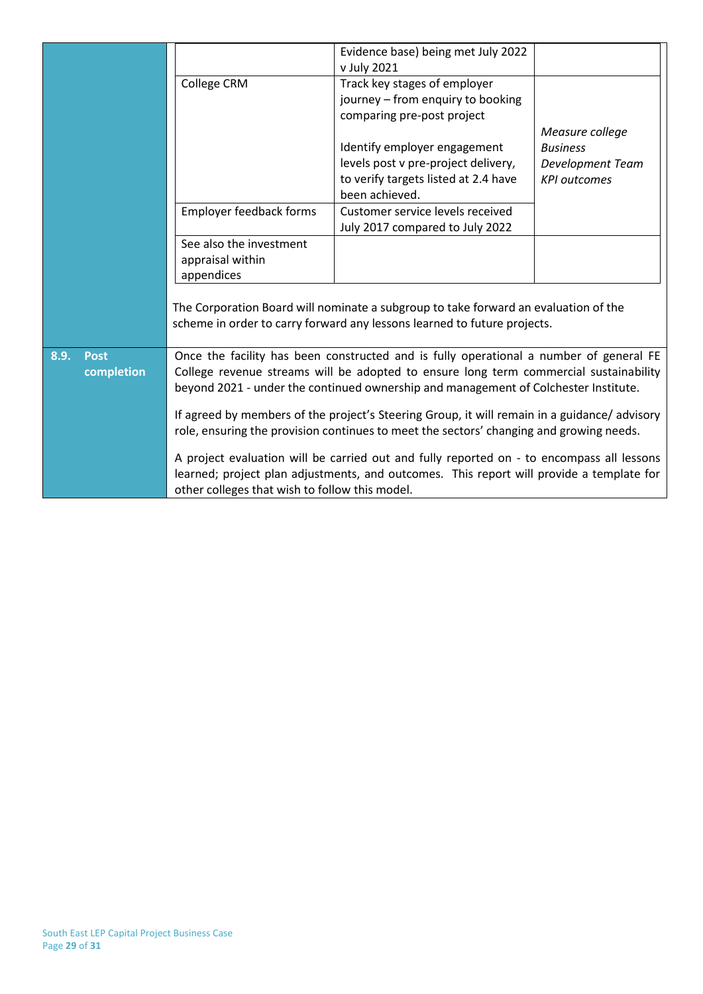|                     |                                                                                                                                                                 | Evidence base) being met July 2022                     |                     |  |  |
|---------------------|-----------------------------------------------------------------------------------------------------------------------------------------------------------------|--------------------------------------------------------|---------------------|--|--|
|                     |                                                                                                                                                                 | v July 2021                                            |                     |  |  |
|                     | College CRM                                                                                                                                                     | Track key stages of employer                           |                     |  |  |
|                     |                                                                                                                                                                 | journey - from enquiry to booking                      |                     |  |  |
|                     |                                                                                                                                                                 | comparing pre-post project                             |                     |  |  |
|                     |                                                                                                                                                                 |                                                        | Measure college     |  |  |
|                     |                                                                                                                                                                 | Identify employer engagement                           | <b>Business</b>     |  |  |
|                     |                                                                                                                                                                 | levels post v pre-project delivery,                    | Development Team    |  |  |
|                     |                                                                                                                                                                 | to verify targets listed at 2.4 have<br>been achieved. | <b>KPI</b> outcomes |  |  |
|                     | Employer feedback forms                                                                                                                                         | Customer service levels received                       |                     |  |  |
|                     |                                                                                                                                                                 | July 2017 compared to July 2022                        |                     |  |  |
|                     | See also the investment                                                                                                                                         |                                                        |                     |  |  |
|                     | appraisal within                                                                                                                                                |                                                        |                     |  |  |
|                     | appendices                                                                                                                                                      |                                                        |                     |  |  |
|                     | The Corporation Board will nominate a subgroup to take forward an evaluation of the<br>scheme in order to carry forward any lessons learned to future projects. |                                                        |                     |  |  |
| 8.9.<br><b>Post</b> | Once the facility has been constructed and is fully operational a number of general FE                                                                          |                                                        |                     |  |  |
| completion          | College revenue streams will be adopted to ensure long term commercial sustainability                                                                           |                                                        |                     |  |  |
|                     | beyond 2021 - under the continued ownership and management of Colchester Institute.                                                                             |                                                        |                     |  |  |
|                     | If agreed by members of the project's Steering Group, it will remain in a guidance/advisory                                                                     |                                                        |                     |  |  |
|                     | role, ensuring the provision continues to meet the sectors' changing and growing needs.                                                                         |                                                        |                     |  |  |
|                     |                                                                                                                                                                 |                                                        |                     |  |  |
|                     | A project evaluation will be carried out and fully reported on - to encompass all lessons                                                                       |                                                        |                     |  |  |
|                     | learned; project plan adjustments, and outcomes. This report will provide a template for                                                                        |                                                        |                     |  |  |
|                     | other colleges that wish to follow this model.                                                                                                                  |                                                        |                     |  |  |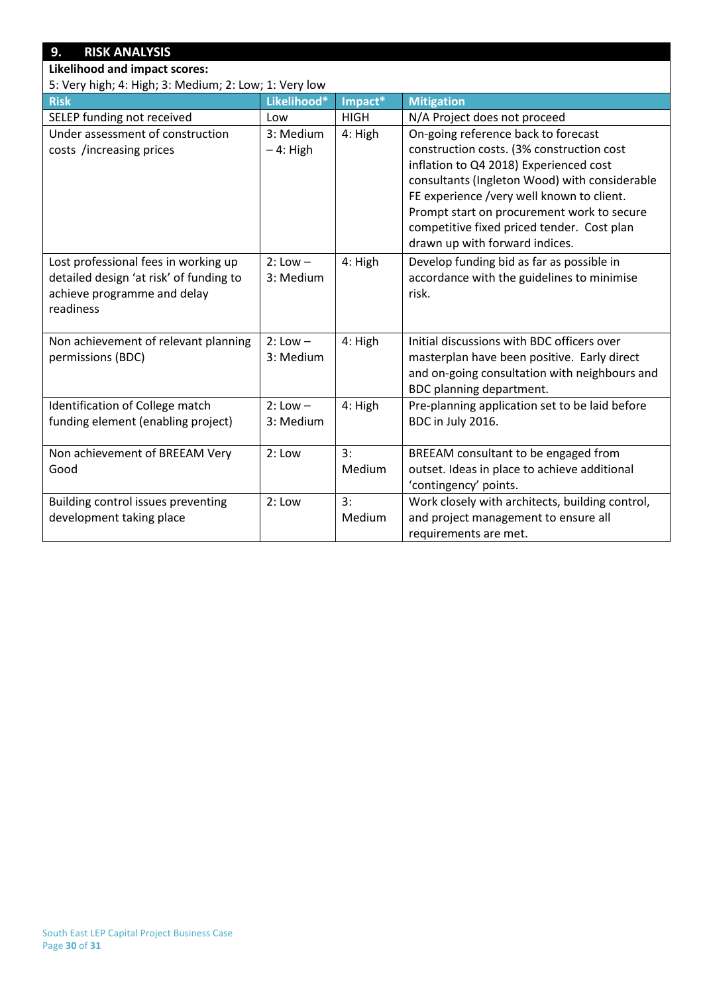# **9. RISK ANALYSIS**

## **Likelihood and impact scores:**

5: Very high; 4: High; 3: Medium; 2: Low; 1: Very low

| 5: Very nigh; 4: High; 3: Medium; 2: Low; 1: Very low |              |             |                                                 |
|-------------------------------------------------------|--------------|-------------|-------------------------------------------------|
| <b>Risk</b>                                           | Likelihood*  | Impact*     | <b>Mitigation</b>                               |
| SELEP funding not received                            | Low          | <b>HIGH</b> | N/A Project does not proceed                    |
| Under assessment of construction                      | 3: Medium    | 4: High     | On-going reference back to forecast             |
| costs /increasing prices                              | $-4$ : High  |             | construction costs. (3% construction cost       |
|                                                       |              |             | inflation to Q4 2018) Experienced cost          |
|                                                       |              |             | consultants (Ingleton Wood) with considerable   |
|                                                       |              |             | FE experience /very well known to client.       |
|                                                       |              |             | Prompt start on procurement work to secure      |
|                                                       |              |             | competitive fixed priced tender. Cost plan      |
|                                                       |              |             | drawn up with forward indices.                  |
| Lost professional fees in working up                  | $2:$ Low $-$ | 4: High     | Develop funding bid as far as possible in       |
| detailed design 'at risk' of funding to               | 3: Medium    |             | accordance with the guidelines to minimise      |
| achieve programme and delay                           |              |             | risk.                                           |
| readiness                                             |              |             |                                                 |
|                                                       |              |             |                                                 |
| Non achievement of relevant planning                  | $2: Low -$   | 4: High     | Initial discussions with BDC officers over      |
| permissions (BDC)                                     | 3: Medium    |             | masterplan have been positive. Early direct     |
|                                                       |              |             | and on-going consultation with neighbours and   |
|                                                       |              |             | BDC planning department.                        |
| Identification of College match                       | $2: Low -$   | 4: High     | Pre-planning application set to be laid before  |
| funding element (enabling project)                    | 3: Medium    |             | BDC in July 2016.                               |
|                                                       |              |             |                                                 |
| Non achievement of BREEAM Very                        | 2: Low       | 3:          | BREEAM consultant to be engaged from            |
| Good                                                  |              | Medium      | outset. Ideas in place to achieve additional    |
|                                                       |              |             | 'contingency' points.                           |
| Building control issues preventing                    | 2: Low       | 3:          | Work closely with architects, building control, |
| development taking place                              |              | Medium      | and project management to ensure all            |
|                                                       |              |             | requirements are met.                           |